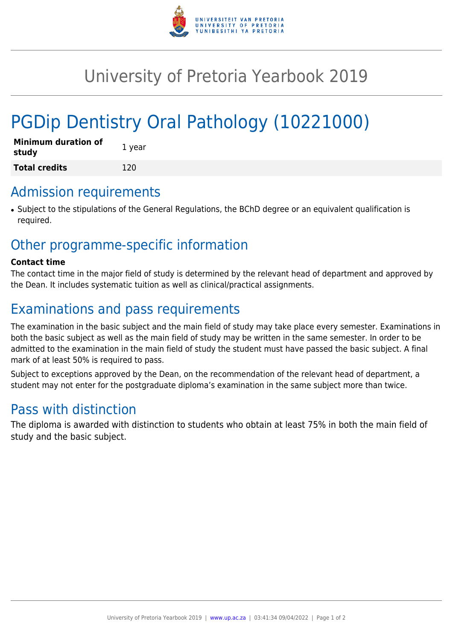

## University of Pretoria Yearbook 2019

# PGDip Dentistry Oral Pathology (10221000)

| <b>Minimum duration of</b><br>study | 1 year |
|-------------------------------------|--------|
| <b>Total credits</b>                | 120    |

#### Admission requirements

● Subject to the stipulations of the General Regulations, the BChD degree or an equivalent qualification is required.

## Other programme-specific information

#### **Contact time**

The contact time in the major field of study is determined by the relevant head of department and approved by the Dean. It includes systematic tuition as well as clinical/practical assignments.

## Examinations and pass requirements

The examination in the basic subject and the main field of study may take place every semester. Examinations in both the basic subject as well as the main field of study may be written in the same semester. In order to be admitted to the examination in the main field of study the student must have passed the basic subject. A final mark of at least 50% is required to pass.

Subject to exceptions approved by the Dean, on the recommendation of the relevant head of department, a student may not enter for the postgraduate diploma's examination in the same subject more than twice.

## Pass with distinction

The diploma is awarded with distinction to students who obtain at least 75% in both the main field of study and the basic subject.